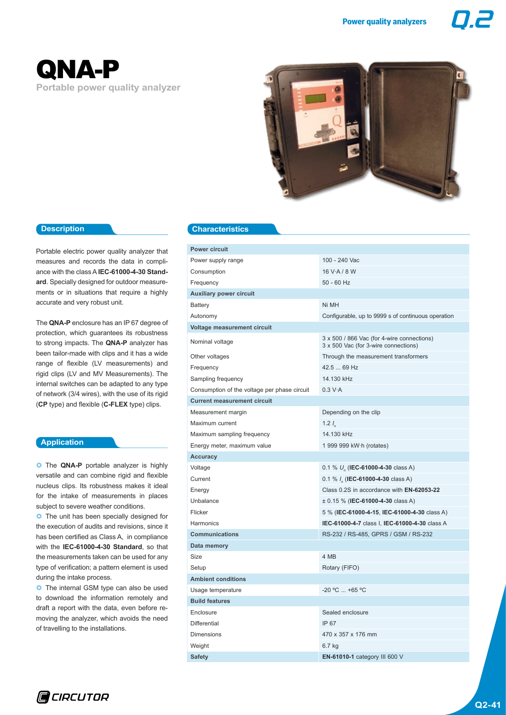**Portable power quality analyzer** QNA-P



Portable electric power quality analyzer that measures and records the data in compliance with the class A **IEC-61000-4-30 Standard**. Specially designed for outdoor measurements or in situations that require a highly accurate and very robust unit.

The **QNA-P** enclosure has an IP 67 degree of protection, which guarantees its robustness to strong impacts. The **QNA-P** analyzer has been tailor-made with clips and it has a wide range of flexible (LV measurements) and rigid clips (LV and MV Measurements). The internal switches can be adapted to any type of network (3/4 wires), with the use of its rigid (**CP** type) and flexible (**C-FLEX** type) clips.

#### **Application**

**O** The **QNA-P** portable analyzer is highly versatile and can combine rigid and flexible nucleus clips. Its robustness makes it ideal for the intake of measurements in places subject to severe weather conditions.

**O** The unit has been specially designed for the execution of audits and revisions, since it has been certified as Class A, in compliance with the **IEC-61000-4-30 Standard**, so that the measurements taken can be used for any type of verification; a pattern element is used during the intake process.

**O** The internal GSM type can also be used to download the information remotely and draft a report with the data, even before removing the analyzer, which avoids the need of travelling to the installations.

#### **Description Characteristics**

| <b>Power circuit</b>                         |                                                                                    |  |  |  |
|----------------------------------------------|------------------------------------------------------------------------------------|--|--|--|
| Power supply range                           | 100 - 240 Vac                                                                      |  |  |  |
| Consumption                                  | 16 V·A / 8 W                                                                       |  |  |  |
| Frequency                                    | $50 - 60$ Hz                                                                       |  |  |  |
| <b>Auxiliary power circuit</b>               |                                                                                    |  |  |  |
| <b>Battery</b>                               | Ni MH                                                                              |  |  |  |
| Autonomy                                     | Configurable, up to 9999 s of continuous operation                                 |  |  |  |
| Voltage measurement circuit                  |                                                                                    |  |  |  |
| Nominal voltage                              | 3 x 500 / 866 Vac (for 4-wire connections)<br>3 x 500 Vac (for 3-wire connections) |  |  |  |
| Other voltages                               | Through the measurement transformers                                               |  |  |  |
| Frequency                                    | 42.5  69 Hz                                                                        |  |  |  |
| Sampling frequency                           | 14.130 kHz                                                                         |  |  |  |
| Consumption of the voltage per phase circuit | 0.3 V·A                                                                            |  |  |  |
| <b>Current measurement circuit</b>           |                                                                                    |  |  |  |
| Measurement margin                           | Depending on the clip                                                              |  |  |  |
| Maximum current                              | 1.2 $I_n$                                                                          |  |  |  |
| Maximum sampling frequency                   | 14.130 kHz                                                                         |  |  |  |
| Energy meter, maximum value                  | 1 999 999 kW·h (rotates)                                                           |  |  |  |
| <b>Accuracy</b>                              |                                                                                    |  |  |  |
|                                              |                                                                                    |  |  |  |
| Voltage                                      | 0.1 % $U_{\rm g}$ (IEC-61000-4-30 class A)                                         |  |  |  |
| Current                                      | 0.1 % $I_{\rm s}$ (IEC-61000-4-30 class A)                                         |  |  |  |
| Energy                                       | Class 0.2S in accordance with EN-62053-22                                          |  |  |  |
| Unbalance                                    | $\pm$ 0.15 % (IEC-61000-4-30 class A)                                              |  |  |  |
| Flicker                                      | 5 % (IEC-61000-4-15, IEC-61000-4-30 class A)                                       |  |  |  |
| Harmonics                                    | IEC-61000-4-7 class I, IEC-61000-4-30 class A                                      |  |  |  |
| <b>Communications</b>                        | RS-232 / RS-485, GPRS / GSM / RS-232                                               |  |  |  |
| Data memory                                  |                                                                                    |  |  |  |
| Size                                         | 4 MB                                                                               |  |  |  |
| Setup                                        | Rotary (FIFO)                                                                      |  |  |  |
| <b>Ambient conditions</b>                    |                                                                                    |  |  |  |
| Usage temperature                            | $-20 °C$ +65 °C                                                                    |  |  |  |
| <b>Build features</b>                        |                                                                                    |  |  |  |
| Enclosure                                    | Sealed enclosure                                                                   |  |  |  |
| <b>Differential</b>                          | IP 67                                                                              |  |  |  |
| <b>Dimensions</b>                            | 470 x 357 x 176 mm                                                                 |  |  |  |
| Weight                                       | 6.7 kg                                                                             |  |  |  |